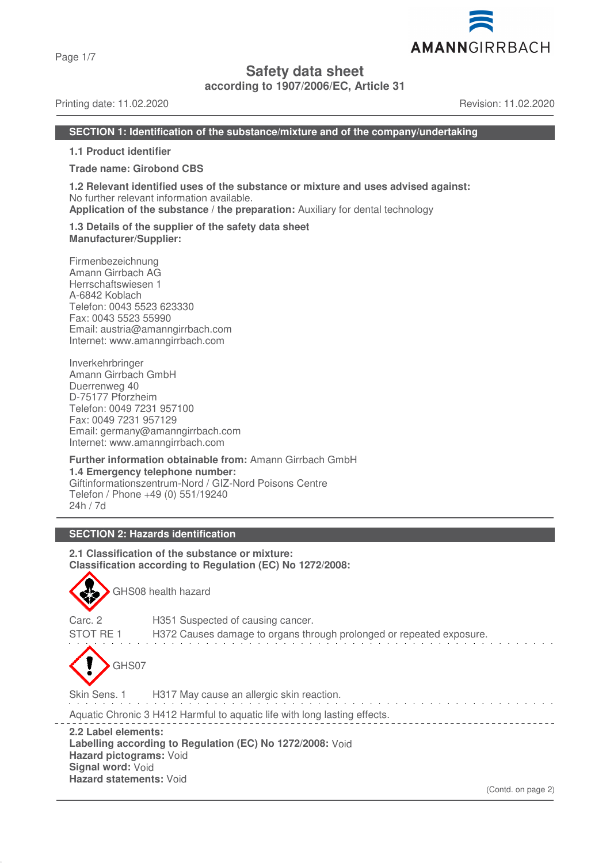Page 1/7

# **Safety data sheet**

**according to 1907/2006/EC, Article 31**

## Printing date: 11.02.2020 Revision: 11.02.2020

AMANNGIRRBACH

#### **SECTION 1: Identification of the substance/mixture and of the company/undertaking**

**1.1 Product identifier**

**Trade name: Girobond CBS**

**1.2 Relevant identified uses of the substance or mixture and uses advised against:** No further relevant information available.

**Application of the substance / the preparation:** Auxiliary for dental technology

#### **1.3 Details of the supplier of the safety data sheet Manufacturer/Supplier:**

Firmenbezeichnung Amann Girrbach AG Herrschaftswiesen 1 A-6842 Koblach Telefon: 0043 5523 623330 Fax: 0043 5523 55990 Email: austria@amanngirrbach.com Internet: www.amanngirrbach.com

Inverkehrbringer Amann Girrbach GmbH Duerrenweg 40 D-75177 Pforzheim Telefon: 0049 7231 957100 Fax: 0049 7231 957129 Email: germany@amanngirrbach.com Internet: www.amanngirrbach.com

**Further information obtainable from:** Amann Girrbach GmbH **1.4 Emergency telephone number:** Giftinformationszentrum-Nord / GIZ-Nord Poisons Centre Telefon / Phone +49 (0) 551/19240 24h / 7d

# **SECTION 2: Hazards identification**

**2.1 Classification of the substance or mixture: Classification according to Regulation (EC) No 1272/2008:**



GHS08 health hazard

Carc. 2 H351 Suspected of causing cancer. STOT RE 1 H372 Causes damage to organs through prolonged or repeated exposure. GHS07 Skin Sens. 1 H317 May cause an allergic skin reaction.

Aquatic Chronic 3 H412 Harmful to aquatic life with long lasting effects.

**2.2 Label elements: Labelling according to Regulation (EC) No 1272/2008:** Void **Hazard pictograms:** Void **Signal word:** Void **Hazard statements:** Void

(Contd. on page 2)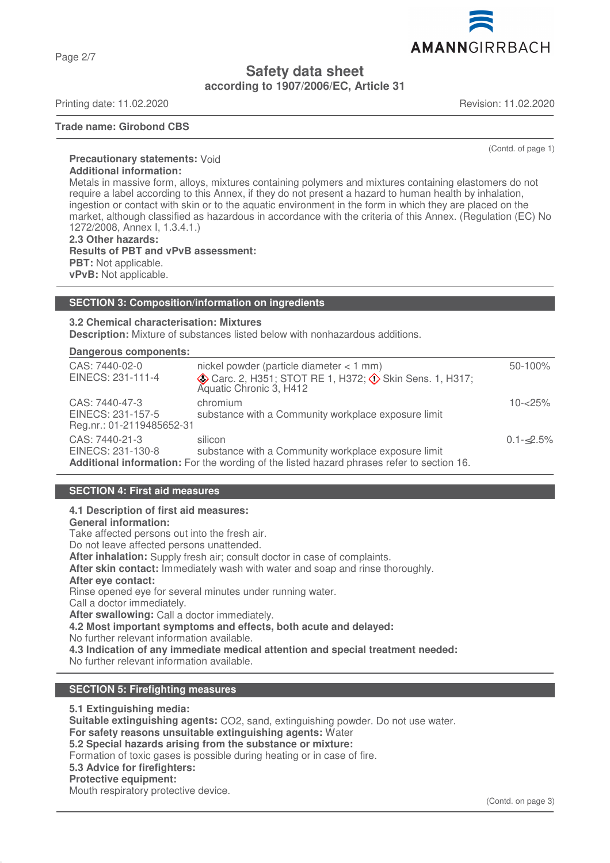Page 2/7

**Safety data sheet**

**according to 1907/2006/EC, Article 31**

Printing date: 11.02.2020 Revision: 11.02.2020

## **Trade name: Girobond CBS**

(Contd. of page 1)

**Precautionary statements:** Void **Additional information:** Metals in massive form, alloys, mixtures containing polymers and mixtures containing elastomers do not require a label according to this Annex, if they do not present a hazard to human health by inhalation, ingestion or contact with skin or to the aquatic environment in the form in which they are placed on the market, although classified as hazardous in accordance with the criteria of this Annex. (Regulation (EC) No 1272/2008, Annex I, 1.3.4.1.) **2.3 Other hazards:**

**Results of PBT and vPvB assessment: PBT:** Not applicable. **vPvB:** Not applicable.

#### **SECTION 3: Composition/information on ingredients**

**3.2 Chemical characterisation: Mixtures**

**Description:** Mixture of substances listed below with nonhazardous additions.

#### **Dangerous components:**

| CAS: 7440-02-0<br>EINECS: 231-111-4                              | nickel powder (particle diameter $<$ 1 mm)<br>Carc. 2, H351; STOT RE 1, H372; $\circled{)}$ Skin Sens. 1, H317;<br>Aquatic Chronic 3, H412                  | $50 - 100\%$       |
|------------------------------------------------------------------|-------------------------------------------------------------------------------------------------------------------------------------------------------------|--------------------|
| CAS: 7440-47-3<br>EINECS: 231-157-5<br>Reg.nr.: 01-2119485652-31 | chromium<br>substance with a Community workplace exposure limit                                                                                             | $10 - 25%$         |
| CAS: 7440-21-3<br>EINECS: 231-130-8                              | silicon<br>substance with a Community workplace exposure limit<br>Additional information: For the wording of the listed hazard phrases refer to section 16. | $0.1 - \leq 2.5\%$ |

#### **SECTION 4: First aid measures**

# **4.1 Description of first aid measures:**

# **General information:**

Take affected persons out into the fresh air.

Do not leave affected persons unattended.

**After inhalation:** Supply fresh air; consult doctor in case of complaints.

**After skin contact:** Immediately wash with water and soap and rinse thoroughly.

#### **After eye contact:**

Rinse opened eye for several minutes under running water.

Call a doctor immediately.

**After swallowing:** Call a doctor immediately.

**4.2 Most important symptoms and effects, both acute and delayed:**

No further relevant information available.

**4.3 Indication of any immediate medical attention and special treatment needed:**

No further relevant information available.

# **SECTION 5: Firefighting measures**

**5.1 Extinguishing media:**

**Suitable extinguishing agents:** CO2, sand, extinguishing powder. Do not use water.

**For safety reasons unsuitable extinguishing agents:** Water

**5.2 Special hazards arising from the substance or mixture:**

Formation of toxic gases is possible during heating or in case of fire.

# **5.3 Advice for firefighters:**

#### **Protective equipment:**

Mouth respiratory protective device.

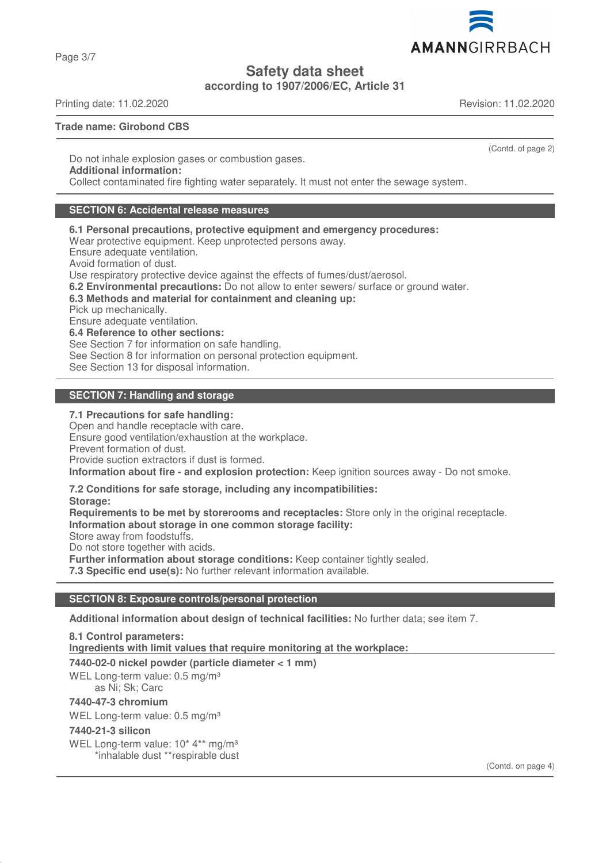Page 3/7

**Safety data sheet**

**according to 1907/2006/EC, Article 31**

Printing date: 11.02.2020 Revision: 11.02.2020

# **Trade name: Girobond CBS**

Do not inhale explosion gases or combustion gases. **Additional information:** Collect contaminated fire fighting water separately. It must not enter the sewage system.

# **SECTION 6: Accidental release measures**

**6.1 Personal precautions, protective equipment and emergency procedures:**

Wear protective equipment. Keep unprotected persons away.

Ensure adequate ventilation.

Avoid formation of dust.

Use respiratory protective device against the effects of fumes/dust/aerosol.

**6.2 Environmental precautions:** Do not allow to enter sewers/ surface or ground water.

#### **6.3 Methods and material for containment and cleaning up:**

Pick up mechanically.

Ensure adequate ventilation.

**6.4 Reference to other sections:**

See Section 7 for information on safe handling.

See Section 8 for information on personal protection equipment.

See Section 13 for disposal information.

# **SECTION 7: Handling and storage**

# **7.1 Precautions for safe handling:**

Open and handle receptacle with care. Ensure good ventilation/exhaustion at the workplace.

Prevent formation of dust.

Provide suction extractors if dust is formed.

**Information about fire - and explosion protection:** Keep ignition sources away - Do not smoke.

# **7.2 Conditions for safe storage, including any incompatibilities:**

**Storage:**

**Requirements to be met by storerooms and receptacles:** Store only in the original receptacle. **Information about storage in one common storage facility:**

Store away from foodstuffs.

Do not store together with acids.

**Further information about storage conditions:** Keep container tightly sealed.

**7.3 Specific end use(s):** No further relevant information available.

# **SECTION 8: Exposure controls/personal protection**

**Additional information about design of technical facilities:** No further data; see item 7.

**8.1 Control parameters:**

**Ingredients with limit values that require monitoring at the workplace:** 

**7440-02-0 nickel powder (particle diameter < 1 mm)**

WEL Long-term value: 0.5 mg/m<sup>3</sup> as Ni; Sk; Carc

# **7440-47-3 chromium**

WEL Long-term value: 0.5 mg/m<sup>3</sup>

# **7440-21-3 silicon**

WEL Long-term value: 10<sup>\*</sup> 4<sup>\*\*</sup> mg/m<sup>3</sup> \*inhalable dust \*\*respirable dust

(Contd. on page 4)



(Contd. of page 2)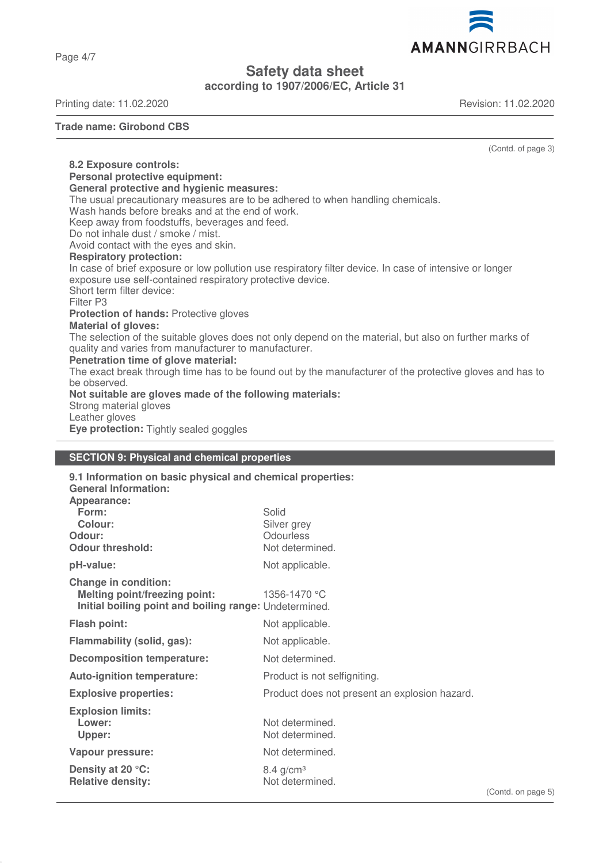Page 4/7

# **Safety data sheet**

**according to 1907/2006/EC, Article 31**

Printing date: 11.02.2020 Revision: 11.02.2020

#### **Trade name: Girobond CBS**

**8.2 Exposure controls:**

(Contd. of page 3)

**Personal protective equipment: General protective and hygienic measures:** The usual precautionary measures are to be adhered to when handling chemicals. Wash hands before breaks and at the end of work. Keep away from foodstuffs, beverages and feed. Do not inhale dust / smoke / mist. Avoid contact with the eyes and skin. **Respiratory protection:** In case of brief exposure or low pollution use respiratory filter device. In case of intensive or longer exposure use self-contained respiratory protective device. Short term filter device: Filter P3 **Protection of hands:** Protective gloves **Material of gloves:** The selection of the suitable gloves does not only depend on the material, but also on further marks of quality and varies from manufacturer to manufacturer. **Penetration time of glove material:** The exact break through time has to be found out by the manufacturer of the protective gloves and has to be observed. **Not suitable are gloves made of the following materials:** Strong material gloves Leather gloves **Eye protection:** Tightly sealed goggles

#### **SECTION 9: Physical and chemical properties**

| 9.1 Information on basic physical and chemical properties:                                                                    |                                               |   |
|-------------------------------------------------------------------------------------------------------------------------------|-----------------------------------------------|---|
| <b>General Information:</b>                                                                                                   |                                               |   |
| Appearance:                                                                                                                   |                                               |   |
| Form:                                                                                                                         | Solid                                         |   |
| <b>Colour:</b><br>Odour:                                                                                                      | Silver grey<br>Odourless                      |   |
| <b>Odour threshold:</b>                                                                                                       | Not determined.                               |   |
| pH-value:                                                                                                                     | Not applicable.                               |   |
| <b>Change in condition:</b><br><b>Melting point/freezing point:</b><br>Initial boiling point and boiling range: Undetermined. | 1356-1470 °C                                  |   |
| <b>Flash point:</b>                                                                                                           | Not applicable.                               |   |
| Flammability (solid, gas):                                                                                                    | Not applicable.                               |   |
| <b>Decomposition temperature:</b>                                                                                             | Not determined.                               |   |
| <b>Auto-ignition temperature:</b>                                                                                             | Product is not selfigniting.                  |   |
| <b>Explosive properties:</b>                                                                                                  | Product does not present an explosion hazard. |   |
| <b>Explosion limits:</b><br>Lower:<br>Upper:                                                                                  | Not determined.<br>Not determined.            |   |
| Vapour pressure:                                                                                                              | Not determined.                               |   |
| Density at 20 °C:<br><b>Relative density:</b>                                                                                 | $8.4$ g/cm <sup>3</sup><br>Not determined.    | ( |
|                                                                                                                               |                                               |   |

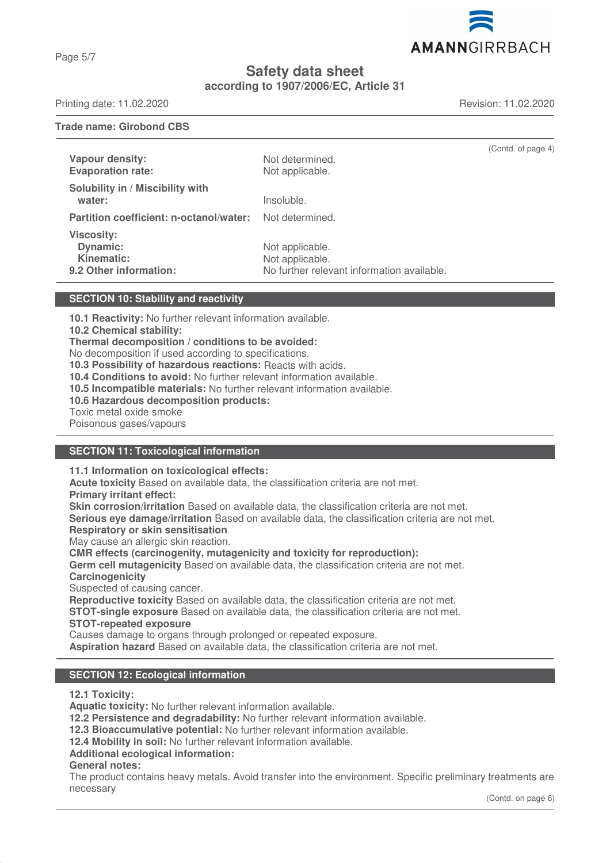Page 5/7

# **Safety data sheet according to 1907/2006/EC, Article 31**

Printing date: 11.02.2020 Revision: 11.02.2020

**Trade name: Girobond CBS**

| Vapour density:<br><b>Evaporation rate:</b>                                  | Not determined.<br>Not applicable.                                               | (Contd. of page 4) |
|------------------------------------------------------------------------------|----------------------------------------------------------------------------------|--------------------|
| Solubility in / Miscibility with<br>water:                                   | Insoluble.                                                                       |                    |
| Partition coefficient: n-octanol/water:                                      | Not determined.                                                                  |                    |
| <b>Viscosity:</b><br><b>Dynamic:</b><br>Kinematic:<br>9.2 Other information: | Not applicable.<br>Not applicable.<br>No further relevant information available. |                    |

## **SECTION 10: Stability and reactivity**

**10.1 Reactivity:** No further relevant information available.

**10.2 Chemical stability:**

**Thermal decomposition / conditions to be avoided:**

No decomposition if used according to specifications.

**10.3 Possibility of hazardous reactions:** Reacts with acids.

**10.4 Conditions to avoid:** No further relevant information available.

**10.5 Incompatible materials:** No further relevant information available.

**10.6 Hazardous decomposition products:**

Toxic metal oxide smoke

Poisonous gases/vapours

# **SECTION 11: Toxicological information**

**11.1 Information on toxicological effects:**

**Acute toxicity** Based on available data, the classification criteria are not met.

**Primary irritant effect:**

**Skin corrosion/irritation** Based on available data, the classification criteria are not met.

**Serious eye damage/irritation** Based on available data, the classification criteria are not met.

**Respiratory or skin sensitisation**

May cause an allergic skin reaction.

#### **CMR effects (carcinogenity, mutagenicity and toxicity for reproduction):**

**Germ cell mutagenicity** Based on available data, the classification criteria are not met. **Carcinogenicity**

Suspected of causing cancer.

**Reproductive toxicity** Based on available data, the classification criteria are not met.

**STOT-single exposure** Based on available data, the classification criteria are not met.

**STOT-repeated exposure**

Causes damage to organs through prolonged or repeated exposure.

**Aspiration hazard** Based on available data, the classification criteria are not met.

# **SECTION 12: Ecological information**

**12.1 Toxicity:**

**Aquatic toxicity:** No further relevant information available.

**12.2 Persistence and degradability:** No further relevant information available.

**12.3 Bioaccumulative potential:** No further relevant information available.

**12.4 Mobility in soil:** No further relevant information available.

# **Additional ecological information:**

# **General notes:**

The product contains heavy metals. Avoid transfer into the environment. Specific preliminary treatments are necessary

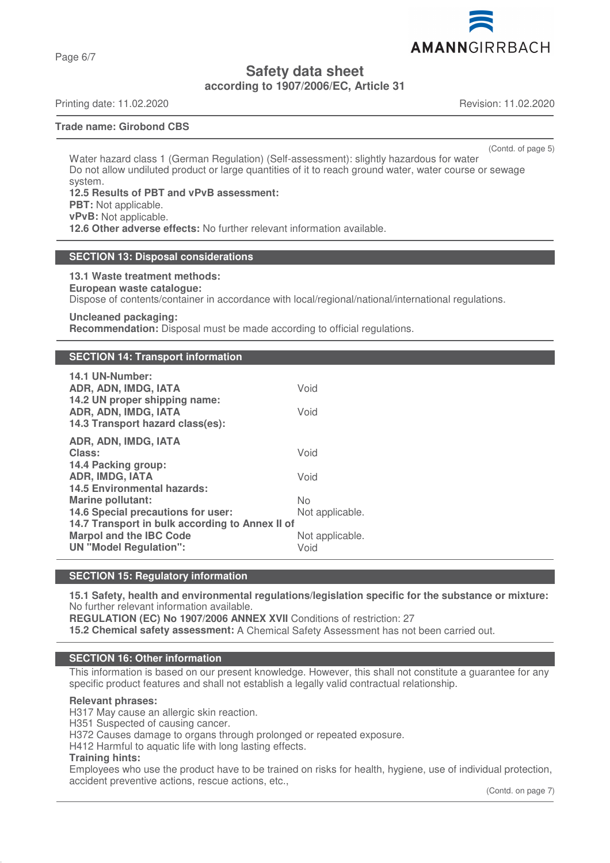Page 6/7

**Safety data sheet**

**according to 1907/2006/EC, Article 31**

Printing date: 11.02.2020 Revision: 11.02.2020

# **Trade name: Girobond CBS**

(Contd. of page 5)

Water hazard class 1 (German Regulation) (Self-assessment): slightly hazardous for water Do not allow undiluted product or large quantities of it to reach ground water, water course or sewage system.

**12.5 Results of PBT and vPvB assessment: PBT:** Not applicable. **vPvB:** Not applicable. **12.6 Other adverse effects:** No further relevant information available.

## **SECTION 13: Disposal considerations**

**13.1 Waste treatment methods:**

**European waste catalogue:**

Dispose of contents/container in accordance with local/regional/national/international regulations.

## **Uncleaned packaging:**

**Recommendation:** Disposal must be made according to official regulations.

# **SECTION 14: Transport information**

| 14.1 UN-Number:<br>ADR, ADN, IMDG, IATA<br>14.2 UN proper shipping name:<br>ADR, ADN, IMDG, IATA<br>14.3 Transport hazard class(es):                                                                                | Void<br>Void                                     |
|---------------------------------------------------------------------------------------------------------------------------------------------------------------------------------------------------------------------|--------------------------------------------------|
| ADR, ADN, IMDG, IATA<br>Class:<br>14.4 Packing group:<br><b>ADR, IMDG, IATA</b>                                                                                                                                     | Void<br>Void                                     |
| <b>14.5 Environmental hazards:</b><br>Marine pollutant:<br>14.6 Special precautions for user:<br>14.7 Transport in bulk according to Annex II of<br><b>Marpol and the IBC Code</b><br><b>UN "Model Regulation":</b> | No<br>Not applicable.<br>Not applicable.<br>Void |

#### **SECTION 15: Regulatory information**

**15.1 Safety, health and environmental regulations/legislation specific for the substance or mixture:** No further relevant information available.

**REGULATION (EC) No 1907/2006 ANNEX XVII** Conditions of restriction: 27 **15.2 Chemical safety assessment:** A Chemical Safety Assessment has not been carried out.

#### **SECTION 16: Other information**

This information is based on our present knowledge. However, this shall not constitute a guarantee for any specific product features and shall not establish a legally valid contractual relationship.

#### **Relevant phrases:**

H317 May cause an allergic skin reaction.

H351 Suspected of causing cancer.

H372 Causes damage to organs through prolonged or repeated exposure.

H412 Harmful to aquatic life with long lasting effects.

#### **Training hints:**

Employees who use the product have to be trained on risks for health, hygiene, use of individual protection, accident preventive actions, rescue actions, etc.,